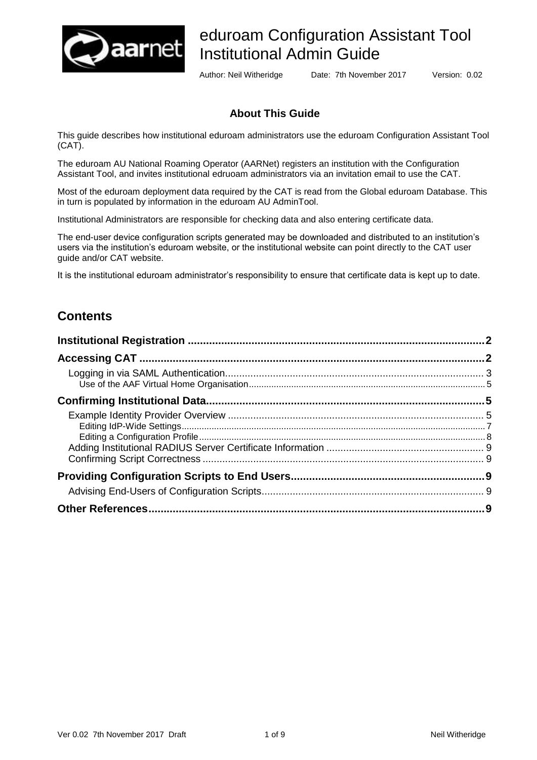

# eduroam Configuration Assistant Tool Institutional Admin Guide

Author: Neil Witheridge Date: 7th November 2017 Version: 0.02

#### **About This Guide**

This guide describes how institutional eduroam administrators use the eduroam Configuration Assistant Tool (CAT).

The eduroam AU National Roaming Operator (AARNet) registers an institution with the Configuration Assistant Tool, and invites institutional edruoam administrators via an invitation email to use the CAT.

Most of the eduroam deployment data required by the CAT is read from the Global eduroam Database. This in turn is populated by information in the eduroam AU AdminTool.

Institutional Administrators are responsible for checking data and also entering certificate data.

The end-user device configuration scripts generated may be downloaded and distributed to an institution's users via the institution's eduroam website, or the institutional website can point directly to the CAT user guide and/or CAT website.

It is the institutional eduroam administrator's responsibility to ensure that certificate data is kept up to date.

## **Contents**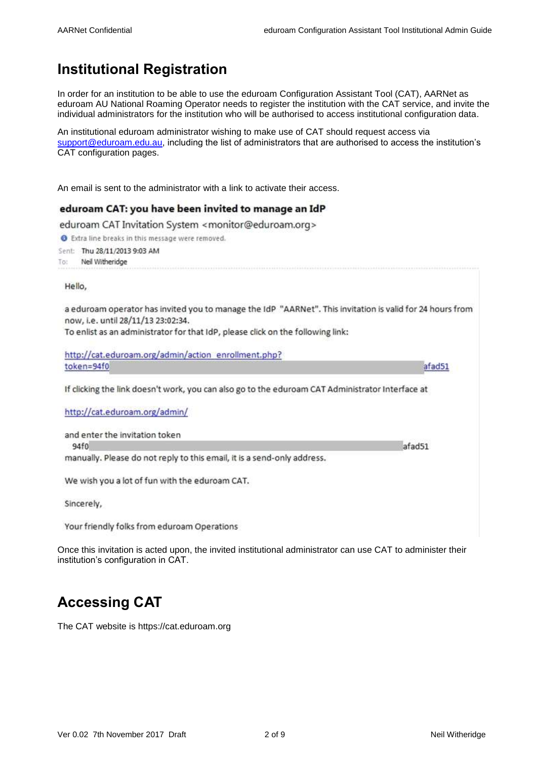# <span id="page-1-0"></span>**Institutional Registration**

In order for an institution to be able to use the eduroam Configuration Assistant Tool (CAT), AARNet as eduroam AU National Roaming Operator needs to register the institution with the CAT service, and invite the individual administrators for the institution who will be authorised to access institutional configuration data.

An institutional eduroam administrator wishing to make use of CAT should request access via [support@eduroam.edu.au,](mailto:support@eduroam.edu.au) including the list of administrators that are authorised to access the institution's CAT configuration pages.

An email is sent to the administrator with a link to activate their access.

#### eduroam CAT: you have been invited to manage an IdP

eduroam CAT Invitation System <monitor@eduroam.org>

State line breaks in this message were removed.

Sent: Thu 28/11/2013 9:03 AM Neil Witheridge To:

#### Hello.

a eduroam operator has invited you to manage the IdP "AARNet". This invitation is valid for 24 hours from now, i.e. until 28/11/13 23:02:34.

To enlist as an administrator for that IdP, please click on the following link:

http://cat.eduroam.org/admin/action\_enrollment.php? token=94f0

If clicking the link doesn't work, you can also go to the eduroam CAT Administrator Interface at

#### http://cat.eduroam.org/admin/

and enter the invitation token  $94f0$ 

manually. Please do not reply to this email, it is a send-only address.

We wish you a lot of fun with the eduroam CAT.

Sincerely,

Your friendly folks from eduroam Operations

Once this invitation is acted upon, the invited institutional administrator can use CAT to administer their institution's configuration in CAT.

## <span id="page-1-1"></span>**Accessing CAT**

The CAT website is https://cat.eduroam.org

afad51

afad51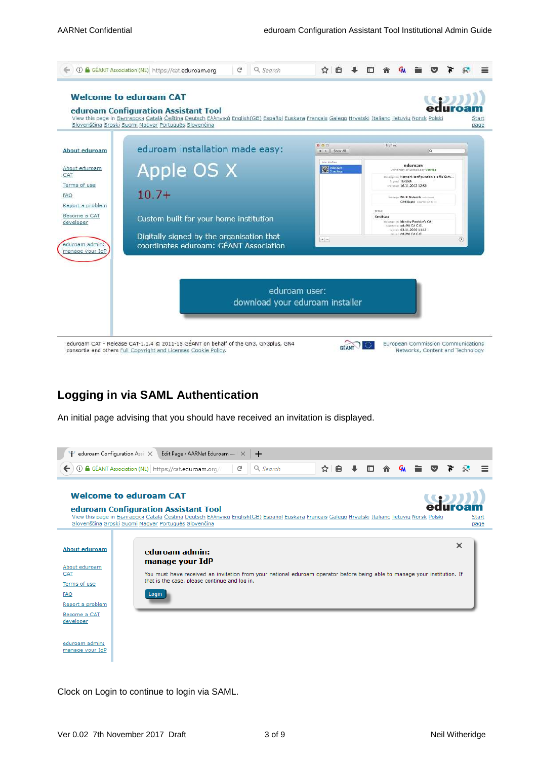

## <span id="page-2-0"></span>**Logging in via SAML Authentication**

An initial page advising that you should have received an invitation is displayed.



Clock on Login to continue to login via SAML.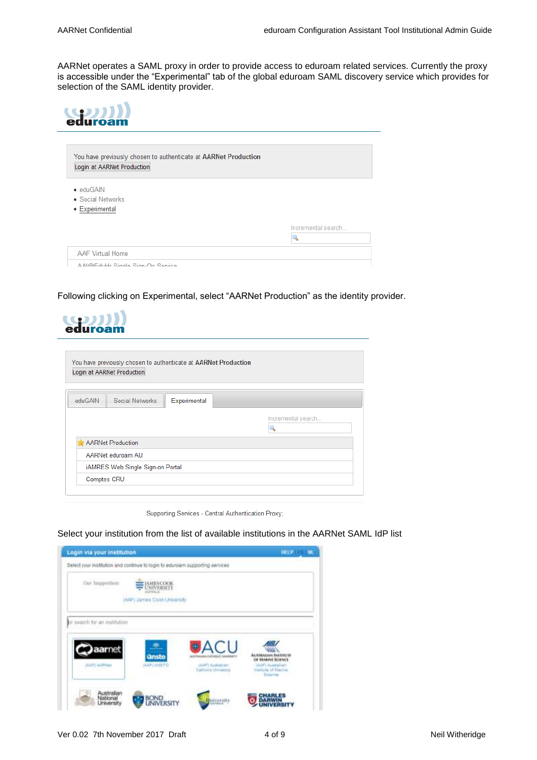AARNet operates a SAML proxy in order to provide access to eduroam related services. Currently the proxy is accessible under the "Experimental" tab of the global eduroam SAML discovery service which provides for selection of the SAML identity provider.

| eduroam                                                                                       |                    |
|-----------------------------------------------------------------------------------------------|--------------------|
| You have previously chosen to authenticate at AARNet Production<br>Login at AARNet Production |                    |
| • eduGAIN<br>• Social Networks<br>• Experimental                                              |                    |
|                                                                                               | Incremental search |
| <b>AAF Virtual Home</b><br>AAI@EduHr Single Sign-On Senice                                    |                    |

Following clicking on Experimental, select "AARNet Production" as the identity provider.

| 9<br>онтож                                                                                    |                                  |              |                    |  |  |  |
|-----------------------------------------------------------------------------------------------|----------------------------------|--------------|--------------------|--|--|--|
| You have previously chosen to authenticate at AARNet Production<br>Login at AARNet Production |                                  |              |                    |  |  |  |
| eduGAIN                                                                                       | Social Networks                  | Experimental |                    |  |  |  |
|                                                                                               |                                  |              | Incremental search |  |  |  |
|                                                                                               |                                  |              |                    |  |  |  |
|                                                                                               | <b>AARNet Production</b>         |              |                    |  |  |  |
|                                                                                               | AARNet eduroam AU                |              |                    |  |  |  |
|                                                                                               | iAMRES Web Single Sign-on Portal |              |                    |  |  |  |
|                                                                                               |                                  |              |                    |  |  |  |

Select your institution from the list of available institutions in the AARNet SAML IdP list

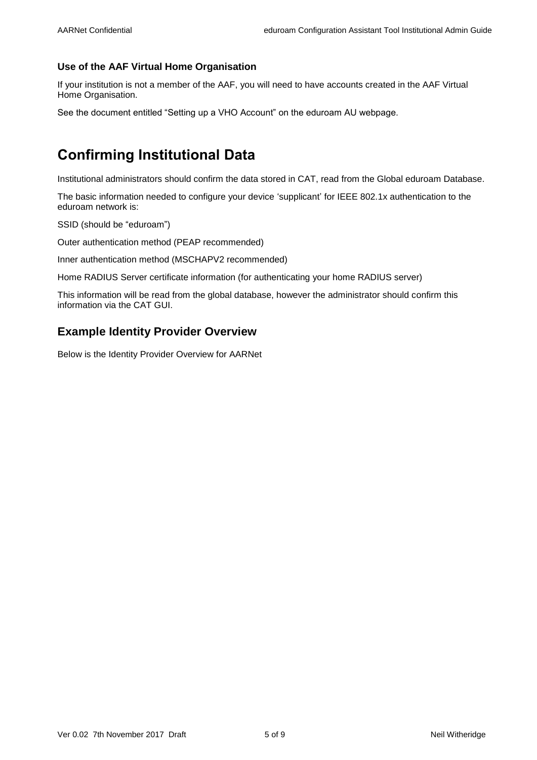### <span id="page-4-0"></span>**Use of the AAF Virtual Home Organisation**

If your institution is not a member of the AAF, you will need to have accounts created in the AAF Virtual Home Organisation.

See the document entitled "Setting up a VHO Account" on the eduroam AU webpage.

# <span id="page-4-1"></span>**Confirming Institutional Data**

Institutional administrators should confirm the data stored in CAT, read from the Global eduroam Database.

The basic information needed to configure your device 'supplicant' for IEEE 802.1x authentication to the eduroam network is:

SSID (should be "eduroam")

Outer authentication method (PEAP recommended)

Inner authentication method (MSCHAPV2 recommended)

Home RADIUS Server certificate information (for authenticating your home RADIUS server)

This information will be read from the global database, however the administrator should confirm this information via the CAT GUI.

### <span id="page-4-2"></span>**Example Identity Provider Overview**

Below is the Identity Provider Overview for AARNet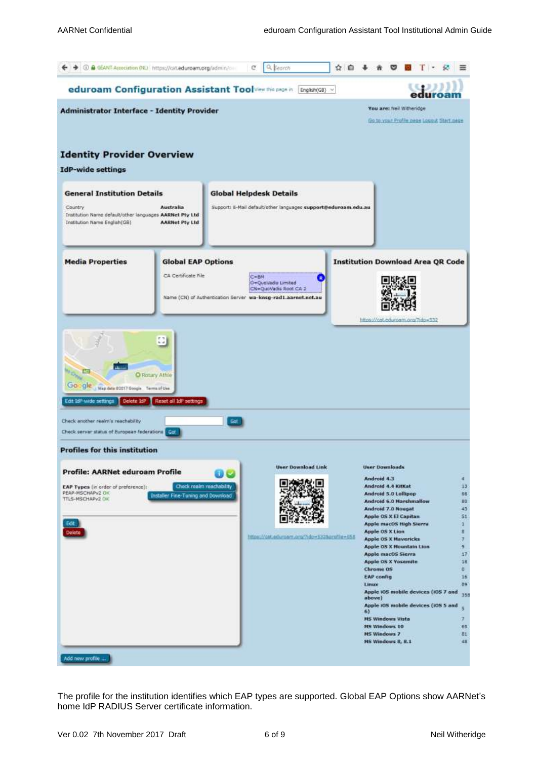

The profile for the institution identifies which EAP types are supported. Global EAP Options show AARNet's home IdP RADIUS Server certificate information.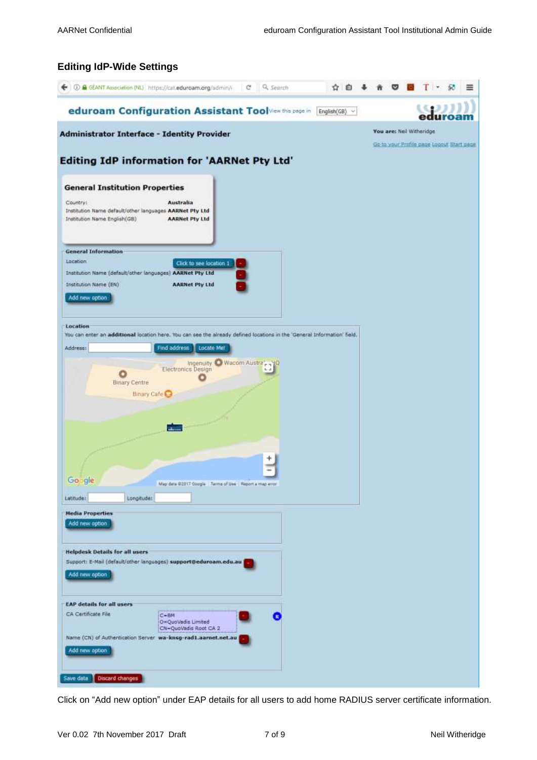#### <span id="page-6-0"></span>**Editing IdP-Wide Settings**



Click on "Add new option" under EAP details for all users to add home RADIUS server certificate information.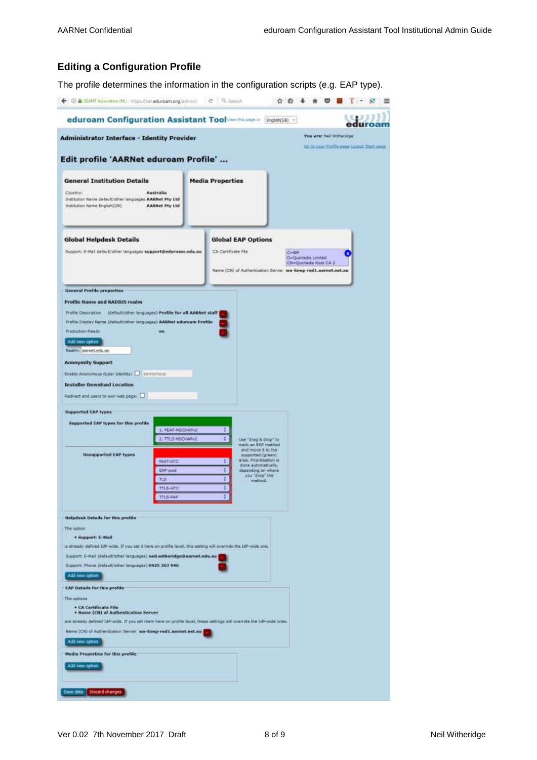#### <span id="page-7-0"></span>**Editing a Configuration Profile**

The profile determines the information in the configuration scripts (e.g. EAP type).